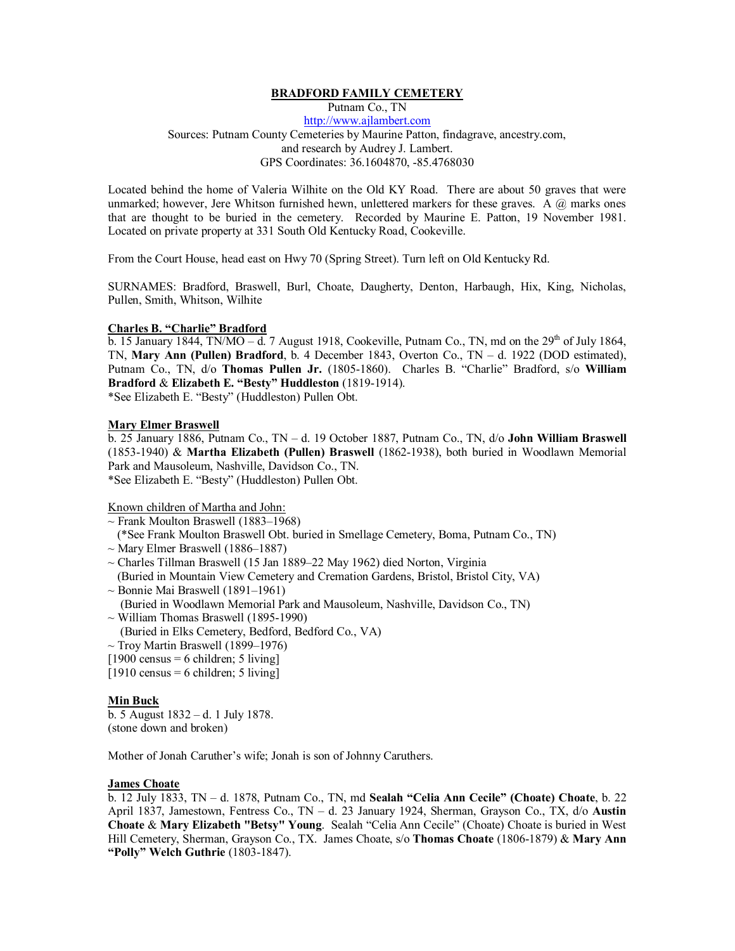## **BRADFORD FAMILY CEMETERY**

Putnam Co., TN [http://www.ajlambert.com](http://www.ajlambert.com/) Sources: Putnam County Cemeteries by Maurine Patton, findagrave, ancestry.com, and research by Audrey J. Lambert. GPS Coordinates: 36.1604870, -85.4768030

Located behind the home of Valeria Wilhite on the Old KY Road. There are about 50 graves that were unmarked; however, Jere Whitson furnished hewn, unlettered markers for these graves. A  $\omega$  marks ones that are thought to be buried in the cemetery. Recorded by Maurine E. Patton, 19 November 1981. Located on private property at 331 South Old Kentucky Road, Cookeville.

From the Court House, head east on Hwy 70 (Spring Street). Turn left on Old Kentucky Rd.

SURNAMES: Bradford, Braswell, Burl, Choate, Daugherty, Denton, Harbaugh, Hix, King, Nicholas, Pullen, Smith, Whitson, Wilhite

#### **Charles B. "Charlie" Bradford**

 $\overline{b}$ . 15 January 1844, TN/MO –  $\overline{d}$ . 7 August 1918, Cookeville, Putnam Co., TN, md on the 29<sup>th</sup> of July 1864, TN, **Mary Ann (Pullen) Bradford**, b. 4 December 1843, Overton Co., TN – d. 1922 (DOD estimated), Putnam Co., TN, d/o **Thomas Pullen Jr.** (1805-1860). Charles B. "Charlie" Bradford, s/o **William Bradford** & **Elizabeth E. "Besty" Huddleston** (1819-1914).

\*See Elizabeth E. "Besty" (Huddleston) Pullen Obt.

# **Mary Elmer Braswell**

b. 25 January 1886, Putnam Co., TN – d. 19 October 1887, Putnam Co., TN, d/o **John William Braswell** (1853-1940) & **Martha Elizabeth (Pullen) Braswell** (1862-1938), both buried in Woodlawn Memorial Park and Mausoleum, Nashville, Davidson Co., TN. \*See Elizabeth E. "Besty" (Huddleston) Pullen Obt.

Known children of Martha and John:

- $\sim$  Frank Moulton Braswell (1883–1968)
- (\*See Frank Moulton Braswell Obt. buried in Smellage Cemetery, Boma, Putnam Co., TN)
- $\sim$  Mary Elmer Braswell (1886–1887)
- ~ Charles Tillman Braswell (15 Jan 1889–22 May 1962) died Norton, Virginia
- (Buried in Mountain View Cemetery and Cremation Gardens, Bristol, Bristol City, VA)
- $\sim$  Bonnie Mai Braswell (1891–1961) (Buried in Woodlawn Memorial Park and Mausoleum, Nashville, Davidson Co., TN)  $\sim$  William Thomas Braswell (1895-1990)
- (Buried in Elks Cemetery, Bedford, Bedford Co., VA)
- $\sim$  Troy Martin Braswell (1899–1976)
- $[1900 \text{ census} = 6 \text{ children}; 5 \text{ living}]$
- $[1910 \text{ census} = 6 \text{ children}; 5 \text{ living}]$

#### **Min Buck**

b. 5 August 1832 – d. 1 July 1878. (stone down and broken)

Mother of Jonah Caruther's wife; Jonah is son of Johnny Caruthers.

#### **James Choate**

b. 12 July 1833, TN – d. 1878, Putnam Co., TN, md **Sealah "Celia Ann Cecile" (Choate) Choate**, b. 22 April 1837, Jamestown, Fentress Co., TN – d. 23 January 1924, Sherman, Grayson Co., TX, d/o **Austin Choate** & **Mary Elizabeth "Betsy" Young**. Sealah "Celia Ann Cecile" (Choate) Choate is buried in West Hill Cemetery, Sherman, Grayson Co., TX. James Choate, s/o **Thomas Choate** (1806-1879) & **Mary Ann "Polly" Welch Guthrie** (1803-1847).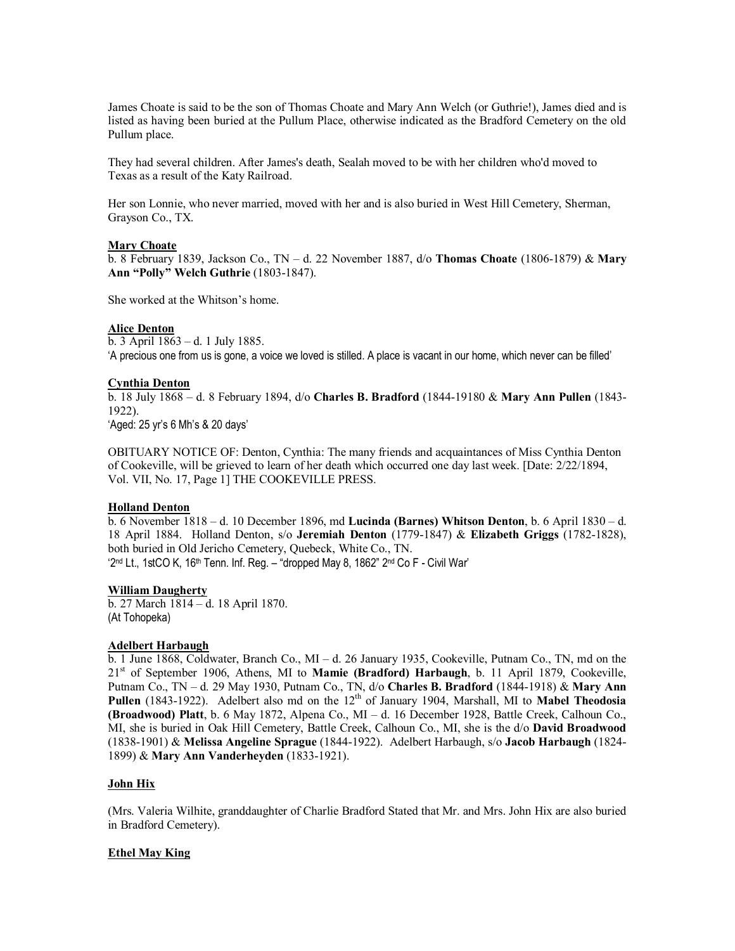James Choate is said to be the son of Thomas Choate and Mary Ann Welch (or Guthrie!), James died and is listed as having been buried at the Pullum Place, otherwise indicated as the Bradford Cemetery on the old Pullum place.

They had several children. After James's death, Sealah moved to be with her children who'd moved to Texas as a result of the Katy Railroad.

Her son Lonnie, who never married, moved with her and is also buried in West Hill Cemetery, Sherman, Grayson Co., TX.

#### **Mary Choate**

b. 8 February 1839, Jackson Co., TN – d. 22 November 1887, d/o **Thomas Choate** (1806-1879) & **Mary Ann "Polly" Welch Guthrie** (1803-1847).

She worked at the Whitson's home.

#### **Alice Denton**

b. 3 April 1863 – d. 1 July 1885. 'A precious one from us is gone, a voice we loved is stilled. A place is vacant in our home, which never can be filled'

## **Cynthia Denton**

b. 18 July 1868 – d. 8 February 1894, d/o **Charles B. Bradford** (1844-19180 & **Mary Ann Pullen** (1843- 1922).

'Aged: 25 yr's 6 Mh's & 20 days'

OBITUARY NOTICE OF: Denton, Cynthia: The many friends and acquaintances of Miss Cynthia Denton of Cookeville, will be grieved to learn of her death which occurred one day last week. [Date: 2/22/1894, Vol. VII, No. 17, Page 1] THE COOKEVILLE PRESS.

#### **Holland Denton**

b. 6 November 1818 – d. 10 December 1896, md **Lucinda (Barnes) Whitson Denton**, b. 6 April 1830 – d. 18 April 1884. Holland Denton, s/o **Jeremiah Denton** (1779-1847) & **Elizabeth Griggs** (1782-1828), both buried in Old Jericho Cemetery, Quebeck, White Co., TN. '2nd Lt., 1stCO K, 16th Tenn. Inf. Reg. – "dropped May 8, 1862" 2nd Co F - Civil War'

## **William Daugherty**

b. 27 March 1814 – d. 18 April 1870. (At Tohopeka)

#### **Adelbert Harbaugh**

b. 1 June 1868, Coldwater, Branch Co., MI – d. 26 January 1935, Cookeville, Putnam Co., TN, md on the 21st of September 1906, Athens, MI to **Mamie (Bradford) Harbaugh**, b. 11 April 1879, Cookeville, Putnam Co., TN – d. 29 May 1930, Putnam Co., TN, d/o **Charles B. Bradford** (1844-1918) & **Mary Ann** Pullen (1843-1922). Adelbert also md on the 12<sup>th</sup> of January 1904, Marshall, MI to Mabel Theodosia **(Broadwood) Platt**, b. 6 May 1872, Alpena Co., MI – d. 16 December 1928, Battle Creek, Calhoun Co., MI, she is buried in Oak Hill Cemetery, Battle Creek, Calhoun Co., MI, she is the d/o **David Broadwood** (1838-1901) & **Melissa Angeline Sprague** (1844-1922). Adelbert Harbaugh, s/o **Jacob Harbaugh** (1824- 1899) & **Mary Ann Vanderheyden** (1833-1921).

#### **John Hix**

(Mrs. Valeria Wilhite, granddaughter of Charlie Bradford Stated that Mr. and Mrs. John Hix are also buried in Bradford Cemetery).

## **Ethel May King**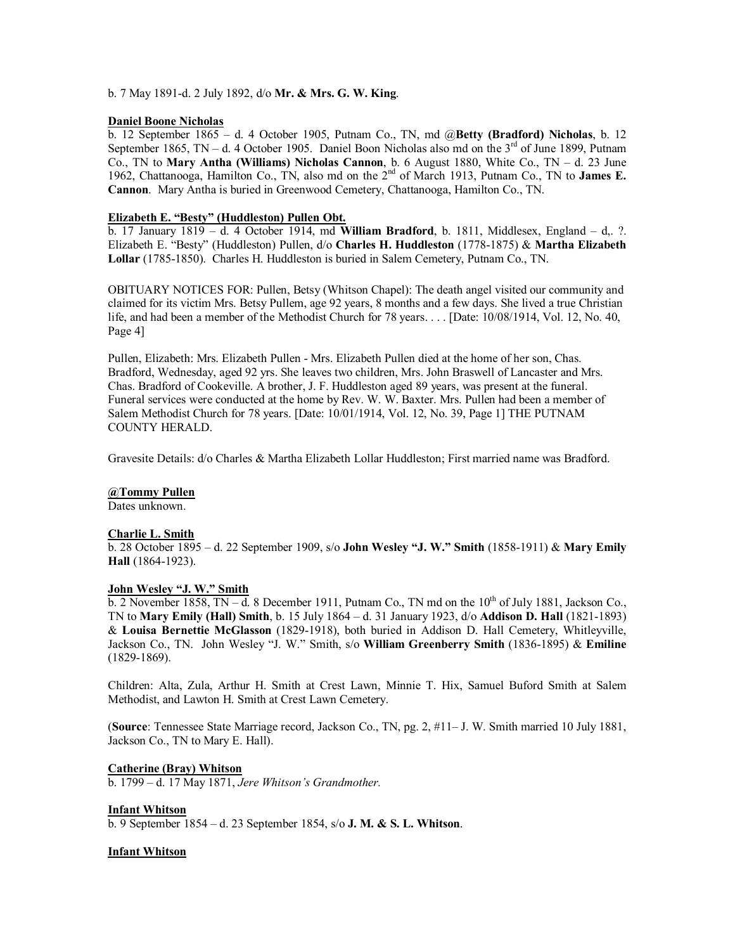b. 7 May 1891-d. 2 July 1892, d/o **Mr. & Mrs. G. W. King**.

## **Daniel Boone Nicholas**

b. 12 September 1865 – d. 4 October 1905, Putnam Co., TN, md @**Betty (Bradford) Nicholas**, b. 12 September 1865, TN – d. 4 October 1905. Daniel Boon Nicholas also md on the  $3<sup>rd</sup>$  of June 1899, Putnam Co., TN to **Mary Antha (Williams) Nicholas Cannon**, b. 6 August 1880, White Co., TN – d. 23 June 1962, Chattanooga, Hamilton Co., TN, also md on the 2nd of March 1913, Putnam Co., TN to **James E. Cannon**. Mary Antha is buried in Greenwood Cemetery, Chattanooga, Hamilton Co., TN.

## **Elizabeth E. "Besty" (Huddleston) Pullen Obt.**

b. 17 January 1819 – d. 4 October 1914, md **William Bradford**, b. 1811, Middlesex, England – d,. ?. Elizabeth E. "Besty" (Huddleston) Pullen, d/o **Charles H. Huddleston** (1778-1875) & **Martha Elizabeth Lollar** (1785-1850). Charles H. Huddleston is buried in Salem Cemetery, Putnam Co., TN.

OBITUARY NOTICES FOR: Pullen, Betsy (Whitson Chapel): The death angel visited our community and claimed for its victim Mrs. Betsy Pullem, age 92 years, 8 months and a few days. She lived a true Christian life, and had been a member of the Methodist Church for 78 years. . . . [Date: 10/08/1914, Vol. 12, No. 40, Page 4]

Pullen, Elizabeth: Mrs. Elizabeth Pullen - Mrs. Elizabeth Pullen died at the home of her son, Chas. Bradford, Wednesday, aged 92 yrs. She leaves two children, Mrs. John Braswell of Lancaster and Mrs. Chas. Bradford of Cookeville. A brother, J. F. Huddleston aged 89 years, was present at the funeral. Funeral services were conducted at the home by Rev. W. W. Baxter. Mrs. Pullen had been a member of Salem Methodist Church for 78 years. [Date: 10/01/1914, Vol. 12, No. 39, Page 1] THE PUTNAM COUNTY HERALD.

Gravesite Details: d/o Charles & Martha Elizabeth Lollar Huddleston; First married name was Bradford.

# **@Tommy Pullen**

Dates unknown.

## **Charlie L. Smith**

b. 28 October 1895 – d. 22 September 1909, s/o **John Wesley "J. W." Smith** (1858-1911) & **Mary Emily Hall** (1864-1923).

# **John Wesley "J. W." Smith**

 $\overline{b}$ . 2 November 1858, TN – d. 8 December 1911, Putnam Co., TN md on the  $10^{th}$  of July 1881, Jackson Co. TN to **Mary Emily (Hall) Smith**, b. 15 July 1864 – d. 31 January 1923, d/o **Addison D. Hall** (1821-1893) & **Louisa Bernettie McGlasson** (1829-1918), both buried in Addison D. Hall Cemetery, Whitleyville, Jackson Co., TN. John Wesley "J. W." Smith, s/o **William Greenberry Smith** (1836-1895) & **Emiline** (1829-1869).

Children: Alta, Zula, Arthur H. Smith at Crest Lawn, Minnie T. Hix, Samuel Buford Smith at Salem Methodist, and Lawton H. Smith at Crest Lawn Cemetery.

(**Source**: Tennessee State Marriage record, Jackson Co., TN, pg. 2, #11– J. W. Smith married 10 July 1881, Jackson Co., TN to Mary E. Hall).

# **Catherine (Bray) Whitson**

b. 1799 – d. 17 May 1871, *Jere Whitson's Grandmother.*

## **Infant Whitson**

b. 9 September 1854 – d. 23 September 1854, s/o **J. M. & S. L. Whitson**.

## **Infant Whitson**